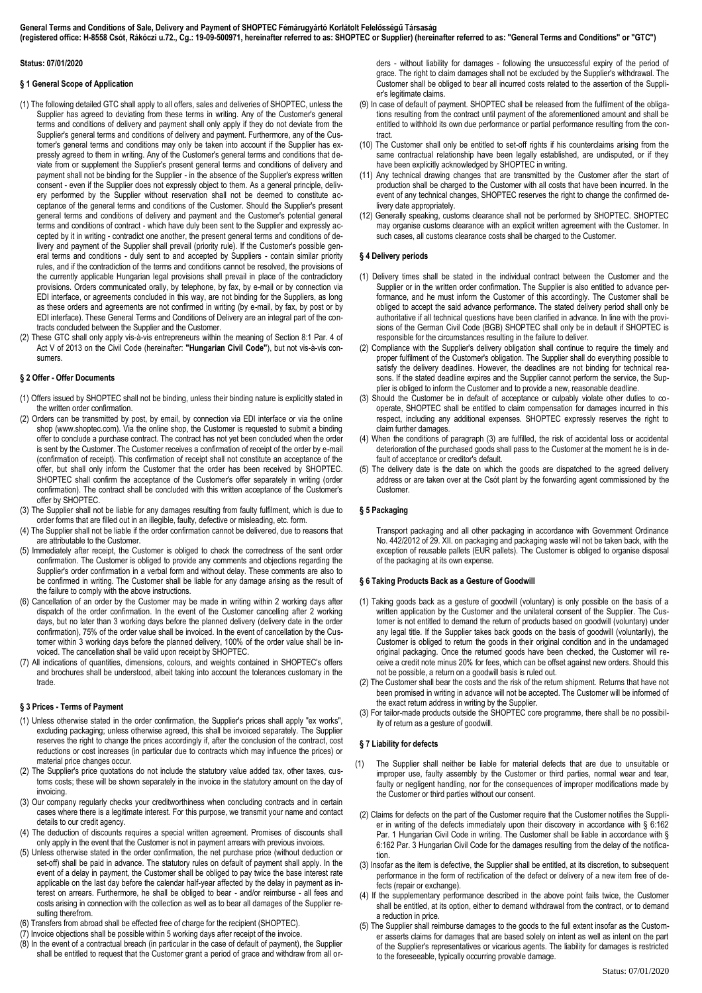## **Status: 07/01/2020**

# **§ 1 General Scope of Application**

- (1) The following detailed GTC shall apply to all offers, sales and deliveries of SHOPTEC, unless the Supplier has agreed to deviating from these terms in writing. Any of the Customer's general terms and conditions of delivery and payment shall only apply if they do not deviate from the Supplier's general terms and conditions of delivery and payment. Furthermore, any of the Customer's general terms and conditions may only be taken into account if the Supplier has expressly agreed to them in writing. Any of the Customer's general terms and conditions that deviate from or supplement the Supplier's present general terms and conditions of delivery and payment shall not be binding for the Supplier - in the absence of the Supplier's express written consent - even if the Supplier does not expressly object to them. As a general principle, delivery performed by the Supplier without reservation shall not be deemed to constitute acceptance of the general terms and conditions of the Customer. Should the Supplier's present general terms and conditions of delivery and payment and the Customer's potential general terms and conditions of contract - which have duly been sent to the Supplier and expressly accepted by it in writing - contradict one another, the present general terms and conditions of delivery and payment of the Supplier shall prevail (priority rule). If the Customer's possible general terms and conditions - duly sent to and accepted by Suppliers - contain similar priority rules, and if the contradiction of the terms and conditions cannot be resolved, the provisions of the currently applicable Hungarian legal provisions shall prevail in place of the contradictory provisions. Orders communicated orally, by telephone, by fax, by e-mail or by connection via EDI interface, or agreements concluded in this way, are not binding for the Suppliers, as long as these orders and agreements are not confirmed in writing (by e-mail, by fax, by post or by EDI interface). These General Terms and Conditions of Delivery are an integral part of the contracts concluded between the Supplier and the Customer.
- (2) These GTC shall only apply vis-à-vis entrepreneurs within the meaning of Section 8:1 Par. 4 of Act V of 2013 on the Civil Code (hereinafter: **"Hungarian Civil Code"**), but not vis-à-vis consumers.

# **§ 2 Offer - Offer Documents**

- (1) Offers issued by SHOPTEC shall not be binding, unless their binding nature is explicitly stated in the written order confirmation.
- (2) Orders can be transmitted by post, by email, by connection via EDI interface or via the online shop (www.shoptec.com). Via the online shop, the Customer is requested to submit a binding offer to conclude a purchase contract. The contract has not yet been concluded when the order is sent by the Customer. The Customer receives a confirmation of receipt of the order by e-mail (confirmation of receipt). This confirmation of receipt shall not constitute an acceptance of the offer, but shall only inform the Customer that the order has been received by SHOPTEC. SHOPTEC shall confirm the acceptance of the Customer's offer separately in writing (order confirmation). The contract shall be concluded with this written acceptance of the Customer's offer by SHOPTEC.
- (3) The Supplier shall not be liable for any damages resulting from faulty fulfilment, which is due to order forms that are filled out in an illegible, faulty, defective or misleading, etc. form.
- (4) The Supplier shall not be liable if the order confirmation cannot be delivered, due to reasons that are attributable to the Customer.
- (5) Immediately after receipt, the Customer is obliged to check the correctness of the sent order confirmation. The Customer is obliged to provide any comments and objections regarding the Supplier's order confirmation in a verbal form and without delay. These comments are also to be confirmed in writing. The Customer shall be liable for any damage arising as the result of the failure to comply with the above instructions.
- (6) Cancellation of an order by the Customer may be made in writing within 2 working days after dispatch of the order confirmation. In the event of the Customer cancelling after 2 working days, but no later than 3 working days before the planned delivery (delivery date in the order confirmation), 75% of the order value shall be invoiced. In the event of cancellation by the Customer within 3 working days before the planned delivery, 100% of the order value shall be invoiced. The cancellation shall be valid upon receipt by SHOPTEC.
- (7) All indications of quantities, dimensions, colours, and weights contained in SHOPTEC's offers and brochures shall be understood, albeit taking into account the tolerances customary in the trade.

## **§ 3 Prices - Terms of Payment**

- (1) Unless otherwise stated in the order confirmation, the Supplier's prices shall apply "ex works", excluding packaging; unless otherwise agreed, this shall be invoiced separately. The Supplier reserves the right to change the prices accordingly if, after the conclusion of the contract, cost reductions or cost increases (in particular due to contracts which may influence the prices) or material price changes occur.
- (2) The Supplier's price quotations do not include the statutory value added tax, other taxes, customs costs; these will be shown separately in the invoice in the statutory amount on the day of invoicing.
- (3) Our company regularly checks your creditworthiness when concluding contracts and in certain cases where there is a legitimate interest. For this purpose, we transmit your name and contact details to our credit agency.
- (4) The deduction of discounts requires a special written agreement. Promises of discounts shall only apply in the event that the Customer is not in payment arrears with previous invoices.
- (5) Unless otherwise stated in the order confirmation, the net purchase price (without deduction or set-off) shall be paid in advance. The statutory rules on default of payment shall apply. In the event of a delay in payment, the Customer shall be obliged to pay twice the base interest rate applicable on the last day before the calendar half-year affected by the delay in payment as interest on arrears. Furthermore, he shall be obliged to bear - and/or reimburse - all fees and costs arising in connection with the collection as well as to bear all damages of the Supplier resulting therefrom.
- (6) Transfers from abroad shall be effected free of charge for the recipient (SHOPTEC).
- (7) Invoice objections shall be possible within 5 working days after receipt of the invoice. (8) In the event of a contractual breach (in particular in the case of default of payment), the Supplier
- shall be entitled to request that the Customer grant a period of grace and withdraw from all or-

ders - without liability for damages - following the unsuccessful expiry of the period of grace. The right to claim damages shall not be excluded by the Supplier's withdrawal. The Customer shall be obliged to bear all incurred costs related to the assertion of the Supplier's legitimate claims.

- (9) In case of default of payment. SHOPTEC shall be released from the fulfilment of the obligations resulting from the contract until payment of the aforementioned amount and shall be entitled to withhold its own due performance or partial performance resulting from the contract.
- (10) The Customer shall only be entitled to set-off rights if his counterclaims arising from the same contractual relationship have been legally established, are undisputed, or if they have been explicitly acknowledged by SHOPTEC in writing.
- (11) Any technical drawing changes that are transmitted by the Customer after the start of production shall be charged to the Customer with all costs that have been incurred. In the event of any technical changes, SHOPTEC reserves the right to change the confirmed delivery date appropriately.
- (12) Generally speaking, customs clearance shall not be performed by SHOPTEC. SHOPTEC may organise customs clearance with an explicit written agreement with the Customer. In such cases, all customs clearance costs shall be charged to the Customer.

# **§ 4 Delivery periods**

- (1) Delivery times shall be stated in the individual contract between the Customer and the Supplier or in the written order confirmation. The Supplier is also entitled to advance performance, and he must inform the Customer of this accordingly. The Customer shall be obliged to accept the said advance performance. The stated delivery period shall only be authoritative if all technical questions have been clarified in advance. In line with the provisions of the German Civil Code (BGB) SHOPTEC shall only be in default if SHOPTEC is responsible for the circumstances resulting in the failure to deliver.
- (2) Compliance with the Supplier's delivery obligation shall continue to require the timely and proper fulfilment of the Customer's obligation. The Supplier shall do everything possible to satisfy the delivery deadlines. However, the deadlines are not binding for technical reasons. If the stated deadline expires and the Supplier cannot perform the service, the Supplier is obliged to inform the Customer and to provide a new, reasonable deadline.
- (3) Should the Customer be in default of acceptance or culpably violate other duties to cooperate, SHOPTEC shall be entitled to claim compensation for damages incurred in this respect, including any additional expenses. SHOPTEC expressly reserves the right to claim further damages.
- (4) When the conditions of paragraph (3) are fulfilled, the risk of accidental loss or accidental deterioration of the purchased goods shall pass to the Customer at the moment he is in default of acceptance or creditor's default.
- (5) The delivery date is the date on which the goods are dispatched to the agreed delivery address or are taken over at the Csót plant by the forwarding agent commissioned by the Customer.

# **§ 5 Packaging**

Transport packaging and all other packaging in accordance with Government Ordinance No. 442/2012 of 29. XII. on packaging and packaging waste will not be taken back, with the exception of reusable pallets (EUR pallets). The Customer is obliged to organise disposal of the packaging at its own expense.

## **§ 6 Taking Products Back as a Gesture of Goodwill**

- (1) Taking goods back as a gesture of goodwill (voluntary) is only possible on the basis of a written application by the Customer and the unilateral consent of the Supplier. The Customer is not entitled to demand the return of products based on goodwill (voluntary) under any legal title. If the Supplier takes back goods on the basis of goodwill (voluntarily), the Customer is obliged to return the goods in their original condition and in the undamaged original packaging. Once the returned goods have been checked, the Customer will receive a credit note minus 20% for fees, which can be offset against new orders. Should this not be possible, a return on a goodwill basis is ruled out.
- (2) The Customer shall bear the costs and the risk of the return shipment. Returns that have not been promised in writing in advance will not be accepted. The Customer will be informed of the exact return address in writing by the Supplier.
- (3) For tailor-made products outside the SHOPTEC core programme, there shall be no possibility of return as a gesture of goodwill.

# **§ 7 Liability for defects**

- (1) The Supplier shall neither be liable for material defects that are due to unsuitable or improper use, faulty assembly by the Customer or third parties, normal wear and tear, faulty or negligent handling, nor for the consequences of improper modifications made by the Customer or third parties without our consent.
- (2) Claims for defects on the part of the Customer require that the Customer notifies the Supplier in writing of the defects immediately upon their discovery in accordance with § 6:162 Par. 1 Hungarian Civil Code in writing. The Customer shall be liable in accordance with § 6:162 Par. 3 Hungarian Civil Code for the damages resulting from the delay of the notification.
- (3) Insofar as the item is defective, the Supplier shall be entitled, at its discretion, to subsequent performance in the form of rectification of the defect or delivery of a new item free of defects (repair or exchange).
- (4) If the supplementary performance described in the above point fails twice, the Customer shall be entitled, at its option, either to demand withdrawal from the contract, or to demand a reduction in price.
- (5) The Supplier shall reimburse damages to the goods to the full extent insofar as the Customer asserts claims for damages that are based solely on intent as well as intent on the part of the Supplier's representatives or vicarious agents. The liability for damages is restricted to the foreseeable, typically occurring provable damage.